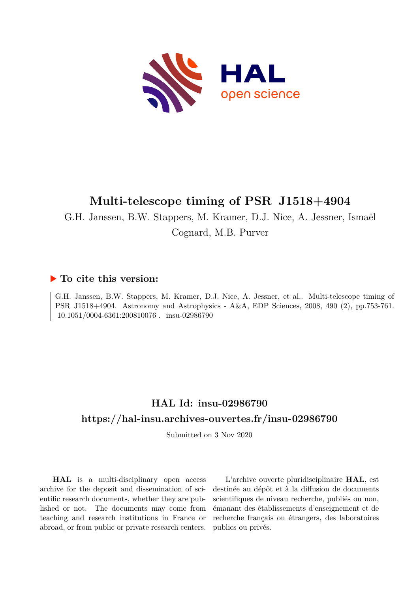

# **Multi-telescope timing of PSR J1518+4904**

G.H. Janssen, B.W. Stappers, M. Kramer, D.J. Nice, A. Jessner, Ismaël

Cognard, M.B. Purver

## **To cite this version:**

G.H. Janssen, B.W. Stappers, M. Kramer, D.J. Nice, A. Jessner, et al.. Multi-telescope timing of PSR J1518+4904. Astronomy and Astrophysics - A&A, EDP Sciences, 2008, 490 (2), pp.753-761.  $10.1051/0004-6361:200810076$ . insu-02986790

## **HAL Id: insu-02986790 <https://hal-insu.archives-ouvertes.fr/insu-02986790>**

Submitted on 3 Nov 2020

**HAL** is a multi-disciplinary open access archive for the deposit and dissemination of scientific research documents, whether they are published or not. The documents may come from teaching and research institutions in France or abroad, or from public or private research centers.

L'archive ouverte pluridisciplinaire **HAL**, est destinée au dépôt et à la diffusion de documents scientifiques de niveau recherche, publiés ou non, émanant des établissements d'enseignement et de recherche français ou étrangers, des laboratoires publics ou privés.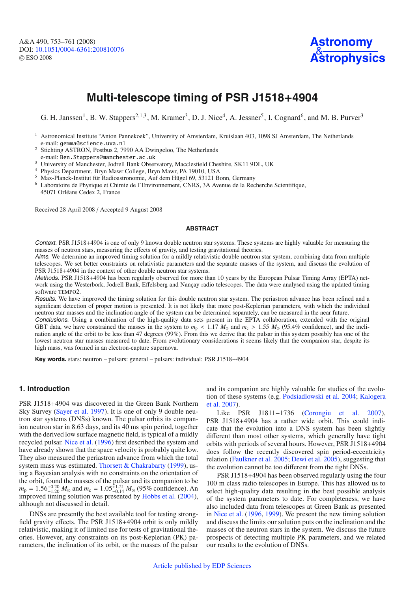

## **Multi-telescope timing of PSR J1518**+**4904**

G. H. Janssen<sup>1</sup>, B. W. Stappers<sup>2,1,3</sup>, M. Kramer<sup>3</sup>, D. J. Nice<sup>4</sup>, A. Jessner<sup>5</sup>, I. Cognard<sup>6</sup>, and M. B. Purver<sup>3</sup>

<sup>2</sup> Stichting ASTRON, Postbus 2, 7990 AA Dwingeloo, The Netherlands

e-mail: Ben.Stappers@manchester.ac.uk

- <sup>3</sup> University of Manchester, Jodrell Bank Observatory, Macclesfield Cheshire, SK11 9DL, UK
- <sup>4</sup> Physics Department, Bryn Mawr College, Bryn Mawr, PA 19010, USA
- <sup>5</sup> Max-Planck-Institut für Radioastronomie, Auf dem Hügel 69, 53121 Bonn, Germany
- <sup>6</sup> Laboratoire de Physique et Chimie de l'Environnement, CNRS, 3A Avenue de la Recherche Scientifique, 45071 Orléans Cedex 2, France

Received 28 April 2008 / Accepted 9 August 2008

#### **ABSTRACT**

Context. PSR J1518+4904 is one of only 9 known double neutron star systems. These systems are highly valuable for measuring the masses of neutron stars, measuring the effects of gravity, and testing gravitational theories.

Aims. We determine an improved timing solution for a mildly relativistic double neutron star system, combining data from multiple telescopes. We set better constraints on relativistic parameters and the separate masses of the system, and discuss the evolution of PSR J1518+4904 in the context of other double neutron star systems.

Methods. PSR J1518+4904 has been regularly observed for more than 10 years by the European Pulsar Timing Array (EPTA) network using the Westerbork, Jodrell Bank, Effelsberg and Nançay radio telescopes. The data were analysed using the updated timing software TEMPO2.

Results. We have improved the timing solution for this double neutron star system. The periastron advance has been refined and a significant detection of proper motion is presented. It is not likely that more post-Keplerian parameters, with which the individual neutron star masses and the inclination angle of the system can be determined separately, can be measured in the near future.

Conclusions. Using a combination of the high-quality data sets present in the EPTA collaboration, extended with the original GBT data, we have constrained the masses in the system to  $m_p < 1.17 M_{\odot}$  and  $m_c > 1.55 M_{\odot}$  (95.4% confidence), and the inclination angle of the orbit to be less than 47 degrees (99%). From this we derive that the pulsar in this system possibly has one of the lowest neutron star masses measured to date. From evolutionary considerations it seems likely that the companion star, despite its high mass, was formed in an electron-capture supernova.

**Key words.** stars: neutron – pulsars: general – pulsars: individual: PSR J1518+4904

## **1. Introduction**

PSR J1518+4904 was discovered in the Green Bank Northern Sky Survey (Sayer et al. 1997). It is one of only 9 double neutron star systems (DNSs) known. The pulsar orbits its companion neutron star in 8.63 days, and its 40 ms spin period, together with the derived low surface magnetic field, is typical of a mildly recycled pulsar. Nice et al. (1996) first described the system and have already shown that the space velocity is probably quite low. They also measured the periastron advance from which the total system mass was estimated. Thorsett & Chakrabarty (1999), using a Bayesian analysis with no constraints on the orientation of the orbit, found the masses of the pulsar and its companion to be  $m_p = 1.56^{+0.20}_{-1.20} M_\odot$  and  $m_c = 1.05^{+1.21}_{-0.14} M_\odot$  (95% confidence). An improved timing solution was presented by Hobbs et al. (2004), although not discussed in detail.

DNSs are presently the best available tool for testing strongfield gravity effects. The PSR J1518+4904 orbit is only mildly relativistic, making it of limited use for tests of gravitational theories. However, any constraints on its post-Keplerian (PK) parameters, the inclination of its orbit, or the masses of the pulsar and its companion are highly valuable for studies of the evolution of these systems (e.g. Podsiadlowski et al. 2004; Kalogera et al. 2007).

Like PSR J1811−1736 (Corongiu et al. 2007), PSR J1518+4904 has a rather wide orbit. This could indicate that the evolution into a DNS system has been slightly different than most other systems, which generally have tight orbits with periods of several hours. However, PSR J1518+4904 does follow the recently discovered spin period-eccentricity relation (Faulkner et al. 2005; Dewi et al. 2005), suggesting that the evolution cannot be too different from the tight DNSs.

PSR J1518+4904 has been observed regularly using the four 100 m class radio telescopes in Europe. This has allowed us to select high-quality data resulting in the best possible analysis of the system parameters to date. For completeness, we have also included data from telescopes at Green Bank as presented in Nice et al. (1996, 1999). We present the new timing solution and discuss the limits our solution puts on the inclination and the masses of the neutron stars in the system. We discuss the future prospects of detecting multiple PK parameters, and we related our results to the evolution of DNSs.

<sup>&</sup>lt;sup>1</sup> Astronomical Institute "Anton Pannekoek", University of Amsterdam, Kruislaan 403, 1098 SJ Amsterdam, The Netherlands e-mail: gemma@science.uva.nl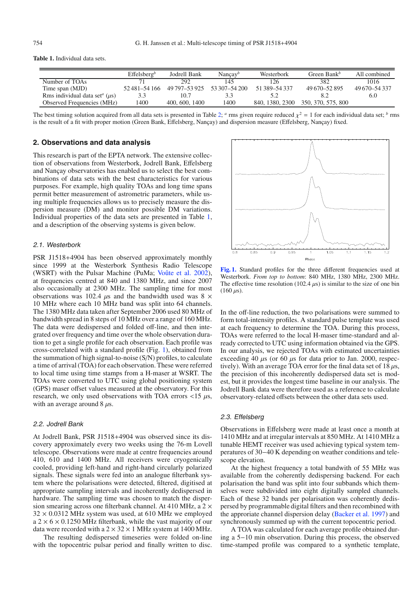**Table 1.** Individual data sets.

|                                                        | Effelsberg <sup>b</sup> | Jodrell Bank   | Nanca $v^b$   | Westerbork      | Green Bank <sup>b</sup> | All combined    |
|--------------------------------------------------------|-------------------------|----------------|---------------|-----------------|-------------------------|-----------------|
| Number of TOAs                                         |                         | 292            | 145           | 126             | 382                     | 1016            |
| Time span (MJD)                                        | 52481-54166             | 49 797–53 925  | 53 307-54 200 | 51 389 - 54 337 | 49 670 - 52 895         | 49 670 - 54 337 |
| Rms individual data set <sup><i>a</i></sup> ( $\mu$ s) | 3.3                     | 10.7           |               |                 |                         | 6.0             |
| <b>Observed Frequencies (MHz)</b>                      | 1400                    | 400, 600, 1400 | 1400          | 840, 1380, 2300 | 350, 370, 575, 800      |                 |

The best timing solution acquired from all data sets is presented in Table 2; <sup>*a*</sup> rms given require reduced  $\chi^2 = 1$  for each individual data set; <sup>*b*</sup> rms is the result of a fit with proper motion (Green Bank, Effelsberg, Nançay) and dispersion measure (Effelsberg, Nançay) fixed.

## **2. Observations and data analysis**

This research is part of the EPTA network. The extensive collection of observations from Westerbork, Jodrell Bank, Effelsberg and Nançay observatories has enabled us to select the best combinations of data sets with the best characteristics for various purposes. For example, high quality TOAs and long time spans permit better measurement of astrometric parameters, while using multiple frequencies allows us to precisely measure the dispersion measure (DM) and monitor possible DM variations. Individual properties of the data sets are presented in Table 1, and a description of the observing systems is given below.

## 2.1. Westerbork

PSR J1518+4904 has been observed approximately monthly since 1999 at the Westerbork Synthesis Radio Telescope (WSRT) with the Pulsar Machine (PuMa; Voûte et al. 2002), at frequencies centred at 840 and 1380 MHz, and since 2007 also occasionally at 2300 MHz. The sampling time for most observations was 102.4  $\mu$ s and the bandwidth used was 8  $\times$ 10 MHz where each 10 MHz band was split into 64 channels. The 1380 MHz data taken after September 2006 used 80 MHz of bandwidth spread in 8 steps of 10 MHz over a range of 160 MHz. The data were dedispersed and folded off-line, and then integrated over frequency and time over the whole observation duration to get a single profile for each observation. Each profile was cross-correlated with a standard profile (Fig. 1), obtained from the summation of high signal-to-noise (S/N) profiles, to calculate a time of arrival (TOA) for each observation. These were referred to local time using time stamps from a H-maser at WSRT. The TOAs were converted to UTC using global positioning system (GPS) maser offset values measured at the observatory. For this research, we only used observations with TOA errors  $\langle 15 \mu s,$ with an average around  $8 \mu s$ .

#### 2.2. Jodrell Bank

At Jodrell Bank, PSR J1518+4904 was observed since its discovery approximately every two weeks using the 76-m Lovell telescope. Observations were made at centre frequencies around 410, 610 and 1400 MHz. All receivers were cryogenically cooled, providing left-hand and right-hand circularly polarized signals. These signals were fed into an analogue filterbank system where the polarisations were detected, filtered, digitised at appropriate sampling intervals and incoherently dedispersed in hardware. The sampling time was chosen to match the dispersion smearing across one filterbank channel. At 410 MHz, a  $2 \times$  $32 \times 0.0312$  MHz system was used, at 610 MHz we employed  $a$  2  $\times$  6  $\times$  0.1250 MHz filterbank, while the vast majority of our data were recorded with a  $2 \times 32 \times 1$  MHz system at 1400 MHz.

The resulting dedispersed timeseries were folded on-line with the topocentric pulsar period and finally written to disc.



**[Fig. 1.](http://dexter.edpsciences.org/applet.php?DOI=10.1051/0004-6361:200810076&pdf_id=1)** Standard profiles for the three different frequencies used at Westerbork. *From top to bottom*: 840 MHz, 1380 MHz, 2300 MHz. The effective time resolution (102.4  $\mu$ s) is similar to the size of one bin  $(160 \,\mu s)$ .

In the off-line reduction, the two polarisations were summed to form total-intensity profiles. A standard pulse template was used at each frequency to determine the TOA. During this process, TOAs were referred to the local H-maser time-standard and already corrected to UTC using information obtained via the GPS. In our analysis, we rejected TOAs with estimated uncertainties exceeding 40  $\mu$ s (or 60  $\mu$ s for data prior to Jan. 2000, respectively). With an average TOA error for the final data set of  $18 \,\mu s$ , the precision of this incoherently dedispersed data set is modest, but it provides the longest time baseline in our analysis. The Jodrell Bank data were therefore used as a reference to calculate observatory-related offsets between the other data sets used.

#### 2.3. Effelsberg

Observations in Effelsberg were made at least once a month at 1410 MHz and at irregular intervals at 850 MHz. At 1410 MHz a tunable HEMT receiver was used achieving typical system temperatures of 30−40 K depending on weather conditions and telescope elevation.

At the highest frequency a total bandwith of 55 MHz was available from the coherently dedispersing backend. For each polarisation the band was split into four subbands which themselves were subdivided into eight digitally sampled channels. Each of these 32 bands per polarisation was coherently dedispersed by programmable digital filters and then recombined with the approriate channel dispersion delay (Backer et al. 1997) and synchronously summed up with the current topocentric period.

A TOA was calculated for each average profile obtained during a 5−10 min observation. During this process, the observed time-stamped profile was compared to a synthetic template,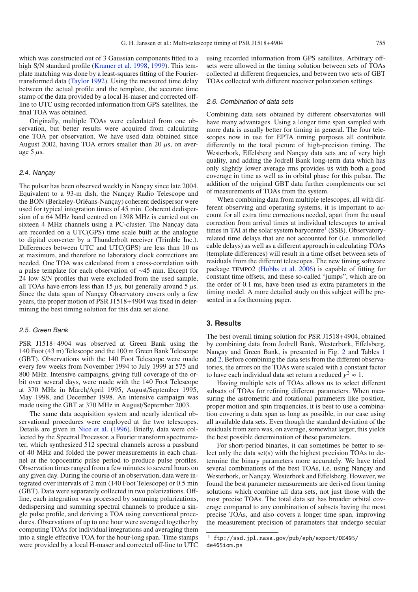which was constructed out of 3 Gaussian components fitted to a high S/N standard profile (Kramer et al. 1998, 1999). This template matching was done by a least-squares fitting of the Fouriertransformed data (Taylor 1992). Using the measured time delay between the actual profile and the template, the accurate time stamp of the data provided by a local H-maser and corrected offline to UTC using recorded information from GPS satellites, the final TOA was obtained.

Originally, multiple TOAs were calculated from one observation, but better results were acquired from calculating one TOA per observation. We have used data obtained since August 2002, having TOA errors smaller than 20  $\mu$ s, on average  $5 \mu s$ .

#### 2.4. Nançay

The pulsar has been observed weekly in Nançay since late 2004. Equivalent to a 93-m dish, the Nançay Radio Telescope and the BON (Berkeley-Orléans-Nançay) coherent dedispersor were used for typical integration times of 45 min. Coherent dedispersion of a 64 MHz band centred on 1398 MHz is carried out on sixteen 4 MHz channels using a PC-cluster. The Nançay data are recorded on a UTC(GPS) time scale built at the analogue to digital converter by a Thunderbolt receiver (Trimble Inc.). Differences between UTC and UTC(GPS) are less than 10 ns at maximum, and therefore no laboratory clock corrections are needed. One TOA was calculated from a cross-correlation with a pulse template for each observation of ∼45 min. Except for 24 low S/N profiles that were excluded from the used sample, all TOAs have errors less than 15  $\mu$ s, but generally around 5  $\mu$ s. Since the data span of Nançay Observatory covers only a few years, the proper motion of PSR J1518+4904 was fixed in determining the best timing solution for this data set alone.

#### 2.5. Green Bank

PSR J1518+4904 was observed at Green Bank using the 140 Foot (43 m) Telescope and the 100 m Green Bank Telescope (GBT). Observations with the 140 Foot Telescope were made every few weeks from November 1994 to July 1999 at 575 and 800 MHz. Intensive campaigns, giving full coverage of the orbit over several days, were made with the 140 Foot Telescope at 370 MHz in March/April 1995, August/September 1995, May 1998, and December 1998. An intensive campaign was made using the GBT at 370 MHz in August/September 2003.

The same data acquisition system and nearly identical observational procedures were employed at the two telescopes. Details are given in Nice et al. (1996). Briefly, data were collected by the Spectral Processor, a Fourier transform spectrometer, which synthesized 512 spectral channels across a passband of 40 MHz and folded the power measurements in each channel at the topocentric pulse period to produce pulse profiles. Observation times ranged from a few minutes to several hours on any given day. During the course of an observation, data were integrated over intervals of 2 min (140 Foot Telescope) or 0.5 min (GBT). Data were separately collected in two polarizations. Offline, each integration was processed by summing polarizations, dedispersing and summing spectral channels to produce a single pulse profile, and deriving a TOA using conventional procedures. Observations of up to one hour were averaged together by computing TOAs for individual integrations and averaging them into a single effective TOA for the hour-long span. Time stamps were provided by a local H-maser and corrected off-line to UTC

using recorded information from GPS satellites. Arbitrary offsets were allowed in the timing solution between sets of TOAs collected at different frequencies, and between two sets of GBT TOAs collected with different receiver polarization settings.

#### 2.6. Combination of data sets

Combining data sets obtained by different observatories will have many advantages. Using a longer time span sampled with more data is usually better for timing in general. The four telescopes now in use for EPTA timing purposes all contribute differently to the total picture of high-precision timing. The Westerbork, Effelsberg and Nançay data sets are of very high quality, and adding the Jodrell Bank long-term data which has only slightly lower average rms provides us with both a good coverage in time as well as in orbital phase for this pulsar. The addition of the original GBT data further complements our set of measurements of TOAs from the system.

When combining data from multiple telescopes, all with different observing and operating systems, it is important to account for all extra time corrections needed, apart from the usual correction from arrival times at individual telescopes to arrival times in TAI at the solar system barycentre<sup>1</sup> (SSB). Observatoryrelated time delays that are not accounted for (i.e. unmodelled cable delays) as well as a different approach in calculating TOAs (template differences) will result in a time offset between sets of residuals from the different telescopes. The new timing software package TEMPO2 (Hobbs et al. 2006) is capable of fitting for constant time offsets, and these so-called "jumps", which are on the order of 0.1 ms, have been used as extra parameters in the timing model. A more detailed study on this subject will be presented in a forthcoming paper.

#### **3. Results**

The best overall timing solution for PSR J1518+4904, obtained by combining data from Jodrell Bank, Westerbork, Effelsberg, Nançay and Green Bank, is presented in Fig. 2 and Tables 1 and 2. Before combining the data sets from the different observatories, the errors on the TOAs were scaled with a constant factor to have each individual data set return a reduced  $\chi^2 \approx 1$ .

Having multiple sets of TOAs allows us to select different subsets of TOAs for refining different parameters. When measuring the astrometric and rotational parameters like position, proper motion and spin frequencies, it is best to use a combination covering a data span as long as possible, in our case using all available data sets. Even though the standard deviation of the residuals from zero was, on average, somewhat larger, this yields the best possible determination of these parameters.

For short-period binaries, it can sometimes be better to select only the data set(s) with the highest precision TOAs to determine the binary parameters more accurately. We have tried several combinations of the best TOAs, i.e. using Nançay and Westerbork, or Nançay, Westerbork and Effelsberg. However, we found the best parameter measurements are derived from timing solutions which combine all data sets, not just those with the most precise TOAs. The total data set has broader orbital coverage compared to any combination of subsets having the most precise TOAs, and also covers a longer time span, improving the measurement precision of parameters that undergo secular

<sup>1</sup> ftp://ssd.jpl.nasa.gov/pub/eph/export/DE405/ de405iom.ps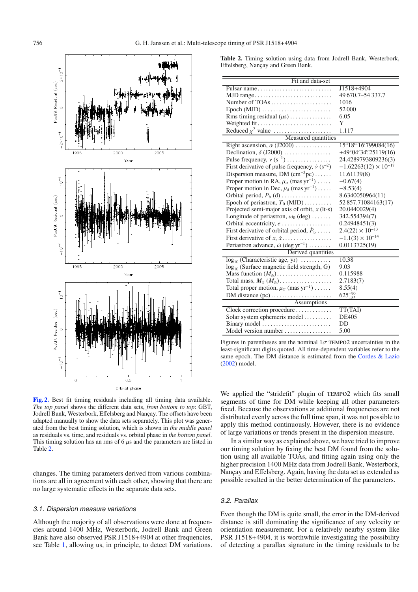

**[Fig. 2.](http://dexter.edpsciences.org/applet.php?DOI=10.1051/0004-6361:200810076&pdf_id=2)** Best fit timing residuals including all timing data available. *The top panel* shows the different data sets, *from bottom to top*: GBT, Jodrell Bank, Westerbork, Effelsberg and Nançay. The offsets have been adapted manually to show the data sets separately. This plot was generated from the best timing solution, which is shown in *the middle panel* as residuals vs. time, and residuals vs. orbital phase in *the bottom panel*. This timing solution has an rms of  $6 \mu s$  and the parameters are listed in Table 2.

changes. The timing parameters derived from various combinations are all in agreement with each other, showing that there are no large systematic effects in the separate data sets.

#### 3.1. Dispersion measure variations

Although the majority of all observations were done at frequencies around 1400 MHz, Westerbork, Jodrell Bank and Green Bank have also observed PSR J1518+4904 at other frequencies, see Table 1, allowing us, in principle, to detect DM variations. **Table 2.** Timing solution using data from Jodrell Bank, Westerbork, Effelsberg, Nançay and Green Bank.

| Fit and data-set                                                  |                                     |  |  |  |  |
|-------------------------------------------------------------------|-------------------------------------|--|--|--|--|
| Pulsar name                                                       | J1518+4904                          |  |  |  |  |
| MJD range                                                         | 49 670.7-54 337.7                   |  |  |  |  |
| Number of TOAs                                                    | 1016                                |  |  |  |  |
|                                                                   | 52000                               |  |  |  |  |
| Rms timing residual $(\mu s)$                                     | 6.05                                |  |  |  |  |
| Weighted fit                                                      | Y                                   |  |  |  |  |
|                                                                   | 1.117                               |  |  |  |  |
|                                                                   |                                     |  |  |  |  |
| Right ascension, $\alpha$ (J2000)                                 | $15^{\rm h}18^{\rm m}16.799084(16)$ |  |  |  |  |
| Declination, $\delta$ (J2000)                                     | +49°04'34" 25119(16)                |  |  |  |  |
| Pulse frequency, $v(s^{-1})$                                      | 24.4289793809236(3)                 |  |  |  |  |
| First derivative of pulse frequency, $\dot{v}$ (s <sup>-2</sup> ) | $-1.62263(12) \times 10^{-17}$      |  |  |  |  |
| Dispersion measure, DM $(cm^{-3}pc)$                              | 11.61139(8)                         |  |  |  |  |
| Proper motion in RA, $\mu_{\alpha}$ (mas yr <sup>-1</sup> )       | $-0.67(4)$                          |  |  |  |  |
| Proper motion in Dec, $\mu_{\delta}$ (mas yr <sup>-1</sup> )      | $-8.53(4)$                          |  |  |  |  |
| Orbital period, $P_b$ (d)                                         | 8.6340050964(11)                    |  |  |  |  |
| Epoch of periastron, $T_0$ (MJD)                                  | 52 857.71084163(17)                 |  |  |  |  |
| Projected semi-major axis of orbit, $x$ (lt-s)                    | 20.0440029(4)                       |  |  |  |  |
| Longitude of periastron, $\omega_0$ (deg)                         | 342.554394(7)                       |  |  |  |  |
| Orbital eccentricity, e                                           | 0.24948451(3)                       |  |  |  |  |
| First derivative of orbital period, $\dot{P}_{\rm b}$             | $2.4(22) \times 10^{-13}$           |  |  |  |  |
| First derivative of $x, \dot{x}$                                  | $-1.1(3) \times 10^{-14}$           |  |  |  |  |
| Periastron advance, $\dot{\omega}$ (deg yr <sup>-1</sup> )        | 0.0113725(19)                       |  |  |  |  |
| Derived quantities                                                |                                     |  |  |  |  |
| $\log_{10}$ (Characteristic age, yr)                              | 10.38                               |  |  |  |  |
| $\log_{10}$ (Surface magnetic field strength, G)                  | 9.03                                |  |  |  |  |
| Mass function $(M_{\odot})$                                       | 0.115988                            |  |  |  |  |
| Total mass, $M_T(M_\odot)$                                        | 2.7183(7)                           |  |  |  |  |
| Total proper motion, $\mu_T$ (mas yr <sup>-1</sup> )              | 8.55(4)                             |  |  |  |  |
|                                                                   | $625^{+90}_{-83}$                   |  |  |  |  |
| Assumptions                                                       |                                     |  |  |  |  |
| Clock correction procedure                                        | TT(TAI)                             |  |  |  |  |
| Solar system ephemeris model                                      | <b>DE405</b>                        |  |  |  |  |
| Binary model                                                      | DD                                  |  |  |  |  |
| Model version number                                              | 5.00                                |  |  |  |  |

Figures in parentheses are the nominal  $1\sigma$  TEMPO2 uncertainties in the least-significant digits quoted. All time-dependent variables refer to the same epoch. The DM distance is estimated from the Cordes & Lazio (2002) model.

We applied the "stridefit" plugin of TEMPO2 which fits small segments of time for DM while keeping all other parameters fixed. Because the observations at additional frequencies are not distributed evenly across the full time span, it was not possible to apply this method continuously. However, there is no evidence of large variations or trends present in the dispersion measure.

In a similar way as explained above, we have tried to improve our timing solution by fixing the best DM found from the solution using all available TOAs, and fitting again using only the higher precision 1400 MHz data from Jodrell Bank, Westerbork, Nançay and Effelsberg. Again, having the data set as extended as possible resulted in the better determination of the parameters.

#### 3.2. Parallax

Even though the DM is quite small, the error in the DM-derived distance is still dominating the significance of any velocity or orientiation measurement. For a relatively nearby system like PSR J1518+4904, it is worthwhile investigating the possibility of detecting a parallax signature in the timing residuals to be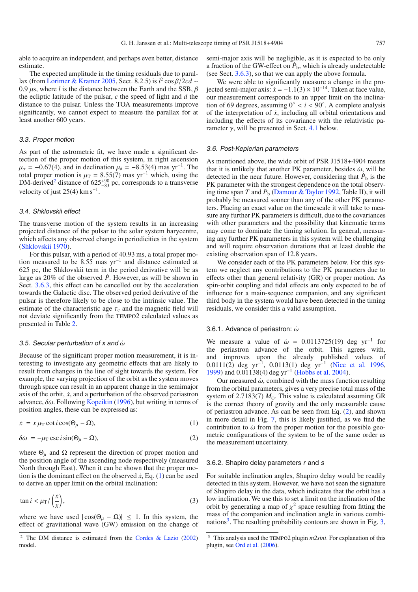able to acquire an independent, and perhaps even better, distance estimate.

The expected amplitude in the timing residuals due to parallax (from Lorimer & Kramer 2005, Sect. 8.2.5) is *l* <sup>2</sup> cos β/2*cd* <sup>∼</sup> 0.9  $\mu$ s, where *l* is the distance between the Earth and the SSB,  $\beta$ the ecliptic latitude of the pulsar, *c* the speed of light and *d* the distance to the pulsar. Unless the TOA measurements improve significantly, we cannot expect to measure the parallax for at least another 600 years.

#### 3.3. Proper motion

As part of the astrometric fit, we have made a significant detection of the proper motion of this system, in right ascension  $\mu_{\alpha} = -0.67(4)$ , and in declination  $\mu_{\delta} = -8.53(4)$  mas yr<sup>-1</sup>. The total proper motion is  $\mu$ <sub>T</sub> = 8.55(7) mas yr<sup>-1</sup> which, using the DM-derived<sup>2</sup> distance of 625<sup>+90</sup> pc, corresponds to a transverse velocity of just  $25(4)$  km s<sup>-1</sup>.

#### 3.4. Shklovskii effect

The transverse motion of the system results in an increasing projected distance of the pulsar to the solar system barycentre, which affects any observed change in periodicities in the system (Shklovskii 1970).

For this pulsar, with a period of 40.93 ms, a total proper motion measured to be 8.55 mas yr−<sup>1</sup> and distance estimated at 625 pc, the Shklovskii term in the period derivative will be as large as 20% of the observed *P*. However, as will be shown in Sect. 3.6.3, this effect can be cancelled out by the acceleration towards the Galactic disc. The observed period derivative of the pulsar is therefore likely to be close to the intrinsic value. The estimate of the characteristic age  $\tau_c$  and the magnetic field will not deviate significantly from the tempo2 calculated values as presented in Table 2.

#### 3.5. Secular perturbation of x and  $\omega$

Because of the significant proper motion measurement, it is interesting to investigate any geometric effects that are likely to result from changes in the line of sight towards the system. For example, the varying projection of the orbit as the system moves through space can result in an apparent change in the semimajor axis of the orbit,  $\dot{x}$ , and a perturbation of the observed periastron advance,  $\delta \omega$ . Following Kopeikin (1996), but writing in terms of position angles, these can be expressed as:

$$
\dot{x} = x \mu_{\rm T} \cot i \cos(\Theta_{\mu} - \Omega), \tag{1}
$$

$$
\delta \dot{\omega} = -\mu_{\rm T} \csc i \sin(\Theta_{\mu} - \Omega), \tag{2}
$$

where  $\Theta_{\mu}$  and  $\Omega$  represent the direction of proper motion and the position angle of the ascending node respectively (measured North through East). When it can be shown that the proper motion is the dominant effect on the observed  $\dot{x}$ , Eq. (1) can be used to derive an upper limit on the orbital inclination:

$$
\tan i < \mu_{\rm T} / \left(\frac{\dot{x}}{x}\right),\tag{3}
$$

where we have used  $|\cos(\Theta_{\mu} - \Omega)| \leq 1$ . In this system, the effect of gravitational wave (GW) emission on the change of semi-major axis will be negligible, as it is expected to be only a fraction of the GW-effect on  $\dot{P}_{b}$ , which is already undetectable (see Sect. 3.6.3), so that we can apply the above formula.

We were able to significantly measure a change in the projected semi-major axis:  $\dot{x} = -1.1(3) \times 10^{-14}$ . Taken at face value, our measurement corresponds to an upper limit on the inclination of 69 degrees, assuming  $0° < i < 90°$ . A complete analysis of the interpretation of  $\dot{x}$ , including all orbital orientations and including the effects of its covariance with the relativistic parameter  $\gamma$ , will be presented in Sect. 4.1 below.

#### 3.6. Post-Keplerian parameters

As mentioned above, the wide orbit of PSR J1518+4904 means that it is unlikely that another PK parameter, besides  $\dot{\omega}$ , will be detected in the near future. However, considering that  $\dot{P}_{b}$  is the PK parameter with the strongest dependence on the total observing time span *T* and *P*<sup>b</sup> (Damour & Taylor 1992, Table II), it will probably be measured sooner than any of the other PK parameters. Placing an exact value on the timescale it will take to measure any further PK parameters is difficult, due to the covariances with other parameters and the possibility that kinematic terms may come to dominate the timing solution. In general, measuring any further PK parameters in this system will be challenging and will require observation durations that at least double the existing observation span of 12.8 years.

We consider each of the PK parameters below. For this system we neglect any contributions to the PK parameters due to effects other than general relativity (GR) or proper motion. As spin-orbit coupling and tidal effects are only expected to be of influence for a main-sequence companion, and any significant third body in the system would have been detected in the timing residuals, we consider this a valid assumption.

#### 3.6.1. Advance of periastron:  $\dot{\omega}$

We measure a value of  $\dot{\omega} = 0.0113725(19)$  deg yr<sup>-1</sup> for the periastron advance of the orbit. This agrees with, and improves upon the already published values of 0.0111(2) deg yr<sup>-1</sup>, 0.0113(1) deg yr<sup>-1</sup> (Nice et al. 1996, 1999) and 0.01138(4) deg yr−<sup>1</sup> (Hobbs et al. 2004).

Our measured  $\dot{\omega}$ , combined with the mass function resulting from the orbital parameters, gives a very precise total mass of the system of 2.7183(7)  $M_{\odot}$ . This value is calculated assuming GR is the correct theory of gravity and the only measurable cause of periastron advance. As can be seen from Eq. (2), and shown in more detail in Fig. 7, this is likely justified, as we find the contribution to  $\dot{\omega}$  from the proper motion for the possible geometric configurations of the system to be of the same order as the measurement uncertainty.

#### 3.6.2. Shapiro delay parameters <sup>r</sup> and <sup>s</sup>

For suitable inclination angles, Shapiro delay would be readily detected in this system. However, we have not seen the signature of Shapiro delay in the data, which indicates that the orbit has a low inclination. We use this to set a limit on the inclination of the orbit by generating a map of  $\chi^2$  space resulting from fitting the mass of the companion and inclination angle in various combinations<sup>3</sup>. The resulting probability contours are shown in Fig.  $3$ ,

<sup>&</sup>lt;sup>2</sup> The DM distance is estimated from the Cordes & Lazio (2002) model.

<sup>&</sup>lt;sup>3</sup> This analysis used the TEMPO2 plugin *m2sini*. For explanation of this plugin, see Ord et al. (2006).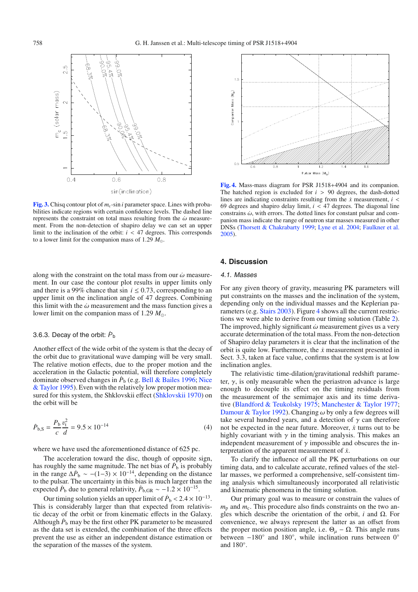

**[Fig. 3.](http://dexter.edpsciences.org/applet.php?DOI=10.1051/0004-6361:200810076&pdf_id=3)** Chisq contour plot of  $m_c$ -sin *i* parameter space. Lines with probabilities indicate regions with certain confidence levels. The dashed line represents the constraint on total mass resulting from the  $\dot{\omega}$  measurement. From the non-detection of shapiro delay we can set an upper limit to the inclination of the orbit:  $i < 47$  degrees. This corresponds to a lower limit for the companion mass of 1.29  $M_{\odot}$ .

along with the constraint on the total mass from our  $\dot{\omega}$  measurement. In our case the contour plot results in upper limits only and there is a 99% chance that sin  $i \leq 0.73$ , corresponding to an upper limit on the inclination angle of 47 degrees. Combining this limit with the  $\dot{\omega}$  measurement and the mass function gives a lower limit on the companion mass of 1.29  $M_{\odot}$ .

### 3.6.3. Decay of the orbit:  $\dot{P}_{b}$

Another effect of the wide orbit of the system is that the decay of the orbit due to gravitational wave damping will be very small. The relative motion effects, due to the proper motion and the acceleration in the Galactic potential, will therefore completely dominate observed changes in  $P_b$  (e.g. Bell & Bailes 1996; Nice & Taylor 1995). Even with the relatively low proper motion measured for this system, the Shklovskii effect (Shklovskii 1970) on the orbit will be

$$
\dot{P}_{\text{b,S}} = \frac{P_{\text{b}} v_{\text{t}}^2}{c d} = 9.5 \times 10^{-14} \tag{4}
$$

where we have used the aforementioned distance of 625 pc.

The acceleration toward the disc, though of opposite sign, has roughly the same magnitude. The net bias of  $\dot{P}_{b}$  is probably in the range  $\Delta P_b \sim -(1-3) \times 10^{-14}$ , depending on the distance to the pulsar. The uncertainty in this bias is much larger than the expected  $\dot{P}_{\rm b}$  due to general relativity,  $\dot{P}_{\rm b,GR} \sim -1.2 \times 10^{-15}$ .

Our timing solution yields an upper limit of  $\dot{P}_{b} < 2.4 \times 10^{-13}$ . This is considerably larger than that expected from relativistic decay of the orbit or from kinematic effects in the Galaxy. Although  $\dot{P}_b$  may be the first other PK parameter to be measured as the data set is extended, the combination of the three effects prevent the use as either an independent distance estimation or the separation of the masses of the system.



**[Fig. 4.](http://dexter.edpsciences.org/applet.php?DOI=10.1051/0004-6361:200810076&pdf_id=4)** Mass-mass diagram for PSR J1518+4904 and its companion. The hatched region is excluded for *i* > 90 degrees, the dash-dotted lines are indicating constraints resulting from the  $\dot{x}$  measurement,  $i <$ 69 degrees and shapiro delay limit,  $i < 47$  degrees. The diagonal line constrains  $\dot{\omega}$ , with errors. The dotted lines for constant pulsar and companion mass indicate the range of neutron star masses measured in other DNSs (Thorsett & Chakrabarty 1999; Lyne et al. 2004; Faulkner et al. 2005).

#### **4. Discussion**

#### 4.1. Masses

For any given theory of gravity, measuring PK parameters will put constraints on the masses and the inclination of the system, depending only on the individual masses and the Keplerian parameters (e.g. Stairs 2003). Figure 4 shows all the current restrictions we were able to derive from our timing solution (Table 2). The improved, highly significant  $\dot{\omega}$  measurement gives us a very accurate determination of the total mass. From the non-detection of Shapiro delay parameters it is clear that the inclination of the orbit is quite low. Furthermore, the  $\dot{x}$  measurement presented in Sect. 3.3, taken at face value, confirms that the system is at low inclination angles.

The relativistic time-dilation/gravitational redshift parameter,  $\gamma$ , is only measurable when the periastron advance is large enough to decouple its effect on the timing residuals from the measurement of the semimajor axis and its time derivative (Blandford & Teukolsky 1975; Manchester & Taylor 1977; Damour & Taylor 1992). Changing  $\omega$  by only a few degrees will take several hundred years, and a detection of  $\gamma$  can therefore not be expected in the near future. Moreover,  $\dot{x}$  turns out to be highly covariant with  $\gamma$  in the timing analysis. This makes an independent measurement of  $\gamma$  impossible and obscures the interpretation of the apparent measurement of  $\dot{x}$ .

To clarify the influence of all the PK perturbations on our timing data, and to calculate accurate, refined values of the stellar masses, we performed a comprehensive, self-consistent timing analysis which simultaneously incorporated all relativistic and kinematic phenomena in the timing solution.

Our primary goal was to measure or constrain the values of  $m_p$  and  $m_c$ . This procedure also finds constraints on the two angles which describe the orientation of the orbit, *i* and  $\Omega$ . For convenience, we always represent the latter as an offset from the proper motion position angle, i.e.  $\Theta_{\mu} - \Omega$ . This angle runs between −180◦ and 180◦, while inclination runs between 0◦ and 180◦.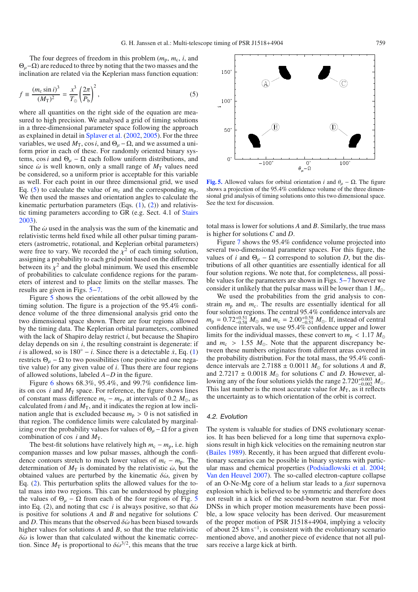The four degrees of freedom in this problem  $(m_p, m_c, i,$  and  $Θ<sub>u</sub>$  – Ω) are reduced to three by noting that the two masses and the inclination are related via the Keplerian mass function equation:

$$
f = \frac{(m_c \sin i)^3}{(M_T)^2} = \frac{x^3}{T_{\odot}} \left(\frac{2\pi}{P_b}\right)^2,
$$
 (5)

where all quantities on the right side of the equation are measured to high precision. We analysed a grid of timing solutions in a three-dimensional parameter space following the approach as explained in detail in Splaver et al. (2002, 2005). For the three variables, we used  $M_T$ , cos *i*, and  $\Theta_u - \Omega$ , and we assumed a uniform prior in each of these. For randomly oriented binary systems, cos *i* and  $\Theta_u - \Omega$  each follow uniform distributions, and since  $\dot{\omega}$  is well known, only a small range of  $M_T$  values need be considered, so a uniform prior is acceptable for this variable as well. For each point in our three dimensional grid, we used Eq. (5) to calculate the value of  $m_c$  and the corresponding  $m_p$ . We then used the masses and orientation angles to calculate the kinematic perturbation parameters  $(Eqs. (1), (2))$  and relativistic timing parameters according to GR (e.g. Sect. 4.1 of Stairs 2003).

The  $\dot{\omega}$  used in the analysis was the sum of the kinematic and relativistic terms held fixed while all other pulsar timing parameters (astrometric, rotational, and Keplerian orbital parameters) were free to vary. We recorded the  $\chi^2$  of each timing solution, assigning a probability to each grid point based on the difference between its  $\chi^2$  and the global minimum. We used this ensemble of probabilities to calculate confidence regions for the parameters of interest and to place limits on the stellar masses. The results are given in Figs. 5−7.

Figure 5 shows the orientations of the orbit allowed by the timing solution. The figure is a projection of the 95.4% confidence volume of the three dimensional analysis grid onto the two dimensional space shown. There are four regions allowed by the timing data. The Keplerian orbital parameters, combined with the lack of Shapiro delay restrict *i*, but because the Shapiro delay depends on sin *i*, the resulting constraint is degenerate: if *i* is allowed, so is  $180° - i$ . Since there is a detectable  $\dot{x}$ , Eq. (1) restricts  $\Theta_{\mu} - \Omega$  to two possibilities (one positive and one negative value) for any given value of *i*. Thus there are four regions of allowed solutions, labeled *A*−*D* in the figure.

Figure 6 shows 68.3%, 95.4%, and 99.7% confidence limits on cos  $i$  and  $M_T$  space. For reference, the figure shows lines of constant mass difference  $m_c - m_p$ , at intervals of 0.2  $M_\odot$ , as calculated from  $i$  and  $M<sub>T</sub>$ , and it indicates the region at low inclination angle that is excluded because  $m_p > 0$  is not satisfied in that region. The confidence limits were calculated by marginalizing over the probability values for values of  $\Theta_{\mu} - \Omega$  for a given combination of cos *i* and  $M_T$ .

The best-fit solutions have relatively high  $m_c - m_p$ , i.e. high companion masses and low pulsar masses, although the confidence contours stretch to much lower values of  $m_c - m_p$ . The determination of  $M_T$  is dominated by the relativistic  $\dot{\omega}$ , but the obtained values are perturbed by the kinematic  $\delta \dot{\omega}$ , given by Eq. (2). This perturbation splits the allowed values for the total mass into two regions. This can be understood by plugging the values of  $\Theta_{\mu}$  –  $\Omega$  from each of the four regions of Fig. 5 into Eq. (2), and noting that csc *i* is always positive, so that  $\delta \omega$ is positive for solutions *A* and *B* and negative for solutions *C* and *D*. This means that the observed  $\delta \omega$  has been biased towards higher values for solutions *A* and *B*, so that the true relativistic  $\delta \dot{\omega}$  is lower than that calculated without the kinematic correction. Since  $M_T$  is proportional to  $\delta \dot{\omega}^{3/2}$ , this means that the true



**[Fig. 5.](http://dexter.edpsciences.org/applet.php?DOI=10.1051/0004-6361:200810076&pdf_id=5)** Allowed values for orbital orientation *i* and  $\theta_{\mu} - \Omega$ . The figure shows a projection of the 95.4% confidence volume of the three dimensional grid analysis of timing solutions onto this two dimensional space. See the text for discussion.

total mass is lower for solutions *A* and *B*. Similarly, the true mass is higher for solutions *C* and *D*.

Figure 7 shows the 95.4% confidence volume projected into several two-dimensional parameter spaces. For this figure, the values of *i* and  $\Theta_u - \Omega$  correspond to solution *D*, but the distributions of all other quantities are essentially identical for all four solution regions. We note that, for completeness, all possible values for the parameters are shown in Figs. 5−7 however we consider it unlikely that the pulsar mass will be lower than  $1 M_{\odot}$ .

We used the probabilities from the grid analysis to constrain  $m_p$  and  $m_c$ . The results are essentially identical for all four solution regions. The central 95.4% confidence intervals are  $m_p = 0.72^{+0.51}_{-0.58} M_{\odot}$  and  $m_c = 2.00^{+0.58}_{-0.51} M_{\odot}$ . If, instead of central confidence intervals, we use 95.4% confidence upper and lower limits for the individual masses, these convert to  $m_p < 1.17 M_{\odot}$ and  $m_c > 1.55$   $M_{\odot}$ . Note that the apparent discrepancy between these numbers originates from different areas covered in the probability distribution. For the total mass, the 95.4% confidence intervals are 2.7188  $\pm$  0.0011  $M_{\odot}$  for solutions *A* and *B*, and 2.7217  $\pm$  0.0018  $M_{\odot}$  for solutions *C* and *D*. However, allowing any of the four solutions yields the range  $2.720^{+0.003}_{-0.002} M_{\odot}$ . This last number is the most accurate value for  $M<sub>T</sub>$ , as it reflects the uncertainty as to which orientation of the orbit is correct.

#### 4.2. Evolution

The system is valuable for studies of DNS evolutionary scenarios. It has been believed for a long time that supernova explosions result in high kick velocities on the remaining neutron star (Bailes 1989). Recently, it has been argued that different evolutionary scenarios can be possible in binary systems with particular mass and chemical properties (Podsiadlowski et al. 2004; Van den Heuvel 2007). The so-called electron-capture collapse of an O-Ne-Mg core of a helium star leads to a *fast* supernova explosion which is believed to be symmetric and therefore does not result in a kick of the second-born neutron star. For most DNSs in which proper motion measurements have been possible, a low space velocity has been derived. Our measurement of the proper motion of PSR J1518+4904, implying a velocity of about 25 km s−1, is consistent with the evolutionary scenario mentioned above, and another piece of evidence that not all pulsars receive a large kick at birth.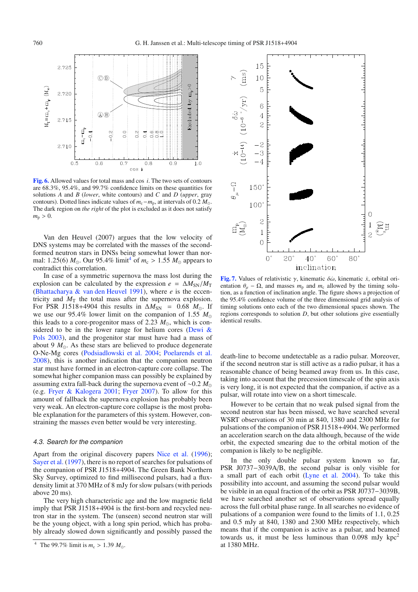

**[Fig. 6.](http://dexter.edpsciences.org/applet.php?DOI=10.1051/0004-6361:200810076&pdf_id=6)** Allowed values for total mass and cos *i*. The two sets of contours are 68.3%, 95.4%, and 99.7% confidence limits on these quantities for solutions *A* and *B* (*lower*, white contours) and *C* and *D* (*upper*, gray contours). Dotted lines indicate values of  $m_c - m_p$ , at intervals of 0.2  $M_\odot$ . The dark region on *the right* of the plot is excluded as it does not satisfy  $m_{\rm p} > 0$ .

Van den Heuvel (2007) argues that the low velocity of DNS systems may be correlated with the masses of the secondformed neutron stars in DNSs being somewhat lower than normal: 1.25(6)  $M_{\odot}$ . Our 95.4% limit<sup>4</sup> of  $m_c > 1.55$   $M_{\odot}$  appears to contradict this correlation.

In case of a symmetric supernova the mass lost during the explosion can be calculated by the expression  $e = \Delta M_{SN}/M_T$ (Bhattacharya & van den Heuvel 1991), where *e* is the eccentricity and  $M<sub>T</sub>$  the total mass after the supernova explosion. For PSR J1518+4904 this results in  $\Delta M_{\text{SN}} = 0.68$   $M_{\odot}$ . If we use our 95.4% lower limit on the companion of 1.55 *M* this leads to a core-progenitor mass of 2.23  $M_{\odot}$ , which is considered to be in the lower range for helium cores (Dewi  $\&$ Pols 2003), and the progenitor star must have had a mass of about 9  $M_{\odot}$ . As these stars are believed to produce degenerate O-Ne-Mg cores (Podsiadlowski et al. 2004; Poelarends et al. 2008), this is another indication that the companion neutron star must have formed in an electron-capture core collapse. The somewhat higher companion mass can possibly be explained by assuming extra fall-back during the supernova event of ∼0.2 *M* (e.g. Fryer & Kalogera 2001; Fryer 2007). To allow for this amount of fallback the supernova explosion has probably been very weak. An electron-capture core collapse is the most probable explanation for the parameters of this system. However, constraining the masses even better would be very interesting.

### 4.3. Search for the companion

Apart from the original discovery papers Nice et al. (1996); Sayer et al. (1997), there is no report of searches for pulsations of the companion of PSR J1518+4904. The Green Bank Northern Sky Survey, optimized to find millisecond pulsars, had a fluxdensity limit at 370 MHz of 8 mJy for slow pulsars (with periods above 20 ms).

The very high characteristic age and the low magnetic field imply that PSR J1518+4904 is the first-born and recycled neutron star in the system. The (unseen) second neutron star will be the young object, with a long spin period, which has probably already slowed down significantly and possibly passed the





**[Fig. 7.](http://dexter.edpsciences.org/applet.php?DOI=10.1051/0004-6361:200810076&pdf_id=7)** Values of relativistic γ, kinematic  $δω$ , kinematic  $x$ , orbital orientation  $\theta_u - \Omega$ , and masses  $m_p$  and  $m_c$  allowed by the timing solution, as a function of inclination angle. The figure shows a projection of the 95.4% confidence volume of the three dimensional grid analysis of timing solutions onto each of the two dimensional spaces shown. The regions corresponds to solution *D*, but other solutions give essentially identical results.

death-line to become undetectable as a radio pulsar. Moreover, if the second neutron star is still active as a radio pulsar, it has a reasonable chance of being beamed away from us. In this case, taking into account that the precession timescale of the spin axis is very long, it is not expected that the companion, if active as a pulsar, will rotate into view on a short timescale.

However to be certain that no weak pulsed signal from the second neutron star has been missed, we have searched several WSRT observations of 30 min at 840, 1380 and 2300 MHz for pulsations of the companion of PSR J1518+4904. We performed an acceleration search on the data although, because of the wide orbit, the expected smearing due to the orbital motion of the companion is likely to be negligible.

In the only double pulsar system known so far, PSR J0737−3039A/B, the second pulsar is only visible for a small part of each orbit (Lyne et al. 2004). To take this possibility into account, and assuming the second pulsar would be visible in an equal fraction of the orbit as PSR J0737−3039B, we have searched another set of observations spread equally across the full orbital phase range. In all searches no evidence of pulsations of a companion were found to the limits of 1.1, 0.25 and 0.5 mJy at 840, 1380 and 2300 MHz respectively, which means that if the companion is active as a pulsar, and beamed towards us, it must be less luminous than  $0.098$  mJy kpc<sup>2</sup> at 1380 MHz.